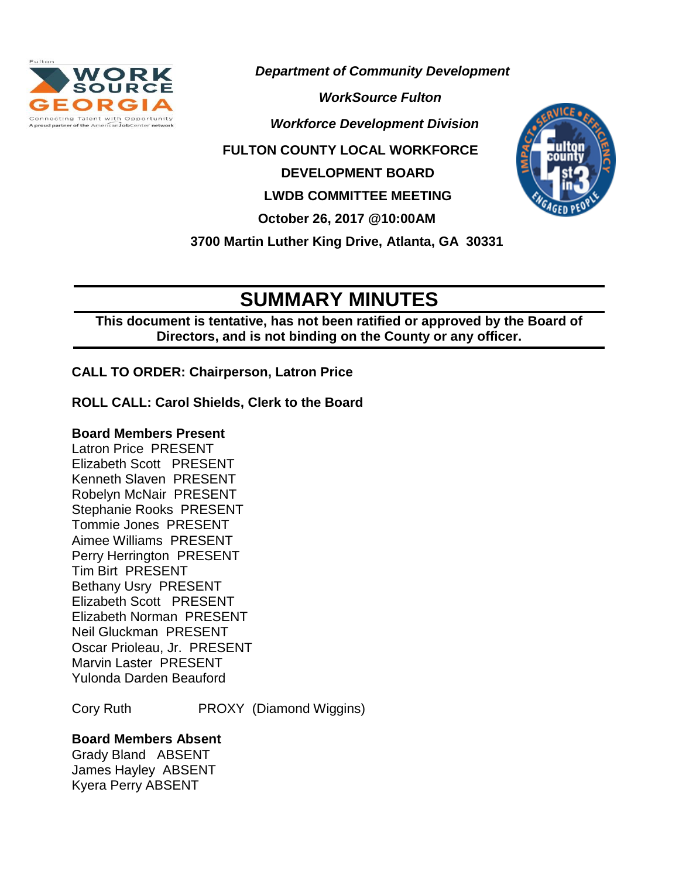

*Department of Community Development*

**Connecting Talent with Opportunity**<br>Aproud partner of the American Job Center network **Aprovement Division** 

 **FULTON COUNTY LOCAL WORKFORCE** 

 **DEVELOPMENT BOARD**

 **LWDB COMMITTEE MEETING**

 **October 26, 2017 @10:00AM**

 **3700 Martin Luther King Drive, Atlanta, GA 30331**

# **SUMMARY MINUTES**

**This document is tentative, has not been ratified or approved by the Board of Directors, and is not binding on the County or any officer.** 

**CALL TO ORDER: Chairperson, Latron Price** 

**ROLL CALL: Carol Shields, Clerk to the Board**

### **Board Members Present**

Latron Price PRESENT Elizabeth Scott PRESENT Kenneth Slaven PRESENT Robelyn McNair PRESENT Stephanie Rooks PRESENT Tommie Jones PRESENT Aimee Williams PRESENT Perry Herrington PRESENT Tim Birt PRESENT Bethany Usry PRESENT Elizabeth Scott PRESENT Elizabeth Norman PRESENT Neil Gluckman PRESENT Oscar Prioleau, Jr. PRESENT Marvin Laster PRESENT Yulonda Darden Beauford

Cory Ruth PROXY (Diamond Wiggins)

## **Board Members Absent**

Grady Bland ABSENT James Hayley ABSENT Kyera Perry ABSENT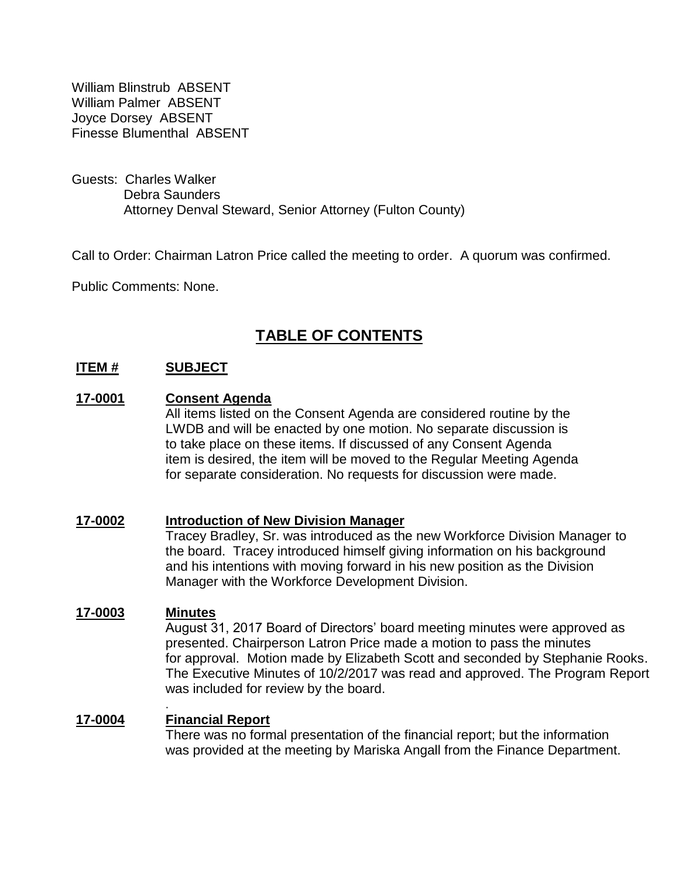William Blinstrub ABSENT William Palmer ABSENT Joyce Dorsey ABSENT Finesse Blumenthal ABSENT

Guests: Charles Walker Debra Saunders Attorney Denval Steward, Senior Attorney (Fulton County)

Call to Order: Chairman Latron Price called the meeting to order. A quorum was confirmed.

Public Comments: None.

## **TABLE OF CONTENTS**

#### **ITEM # SUBJECT**

#### **17-0001 Consent Agenda**

All items listed on the Consent Agenda are considered routine by the LWDB and will be enacted by one motion. No separate discussion is to take place on these items. If discussed of any Consent Agenda item is desired, the item will be moved to the Regular Meeting Agenda for separate consideration. No requests for discussion were made.

#### **17-0002 Introduction of New Division Manager**

Tracey Bradley, Sr. was introduced as the new Workforce Division Manager to the board. Tracey introduced himself giving information on his background and his intentions with moving forward in his new position as the Division Manager with the Workforce Development Division.

#### **17-0003 Minutes**

August 31, 2017 Board of Directors' board meeting minutes were approved as presented. Chairperson Latron Price made a motion to pass the minutes for approval. Motion made by Elizabeth Scott and seconded by Stephanie Rooks. The Executive Minutes of 10/2/2017 was read and approved. The Program Report was included for review by the board.

### **17-0004** . **Financial Report**

There was no formal presentation of the financial report; but the information was provided at the meeting by Mariska Angall from the Finance Department.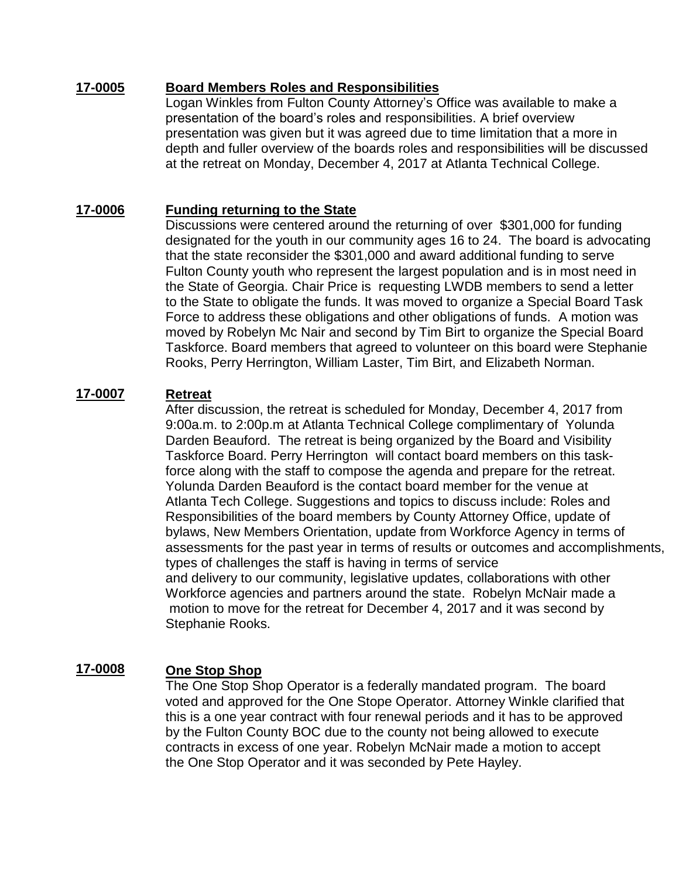#### **17-0005 Board Members Roles and Responsibilities**

Logan Winkles from Fulton County Attorney's Office was available to make a presentation of the board's roles and responsibilities. A brief overview presentation was given but it was agreed due to time limitation that a more in depth and fuller overview of the boards roles and responsibilities will be discussed at the retreat on Monday, December 4, 2017 at Atlanta Technical College.

#### **17-0006 Funding returning to the State**

Discussions were centered around the returning of over \$301,000 for funding designated for the youth in our community ages 16 to 24. The board is advocating that the state reconsider the \$301,000 and award additional funding to serve Fulton County youth who represent the largest population and is in most need in the State of Georgia. Chair Price is requesting LWDB members to send a letter to the State to obligate the funds. It was moved to organize a Special Board Task Force to address these obligations and other obligations of funds. A motion was moved by Robelyn Mc Nair and second by Tim Birt to organize the Special Board Taskforce. Board members that agreed to volunteer on this board were Stephanie Rooks, Perry Herrington, William Laster, Tim Birt, and Elizabeth Norman.

#### **17-0007 Retreat**

After discussion, the retreat is scheduled for Monday, December 4, 2017 from 9:00a.m. to 2:00p.m at Atlanta Technical College complimentary of Yolunda Darden Beauford. The retreat is being organized by the Board and Visibility Taskforce Board. Perry Herrington will contact board members on this taskforce along with the staff to compose the agenda and prepare for the retreat. Yolunda Darden Beauford is the contact board member for the venue at Atlanta Tech College. Suggestions and topics to discuss include: Roles and Responsibilities of the board members by County Attorney Office, update of bylaws, New Members Orientation, update from Workforce Agency in terms of assessments for the past year in terms of results or outcomes and accomplishments, types of challenges the staff is having in terms of service and delivery to our community, legislative updates, collaborations with other Workforce agencies and partners around the state. Robelyn McNair made a motion to move for the retreat for December 4, 2017 and it was second by Stephanie Rooks.

#### **17-0008 One Stop Shop**

The One Stop Shop Operator is a federally mandated program. The board voted and approved for the One Stope Operator. Attorney Winkle clarified that this is a one year contract with four renewal periods and it has to be approved by the Fulton County BOC due to the county not being allowed to execute contracts in excess of one year. Robelyn McNair made a motion to accept the One Stop Operator and it was seconded by Pete Hayley.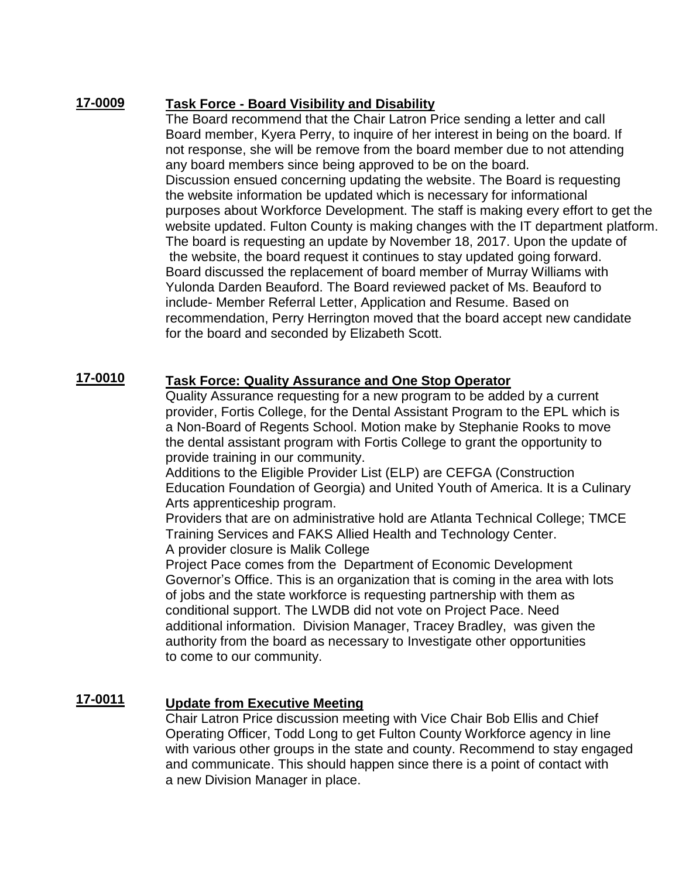#### **17-0009 Task Force - Board Visibility and Disability**

The Board recommend that the Chair Latron Price sending a letter and call Board member, Kyera Perry, to inquire of her interest in being on the board. If not response, she will be remove from the board member due to not attending any board members since being approved to be on the board. Discussion ensued concerning updating the website. The Board is requesting the website information be updated which is necessary for informational purposes about Workforce Development. The staff is making every effort to get the website updated. Fulton County is making changes with the IT department platform. The board is requesting an update by November 18, 2017. Upon the update of the website, the board request it continues to stay updated going forward. Board discussed the replacement of board member of Murray Williams with Yulonda Darden Beauford. The Board reviewed packet of Ms. Beauford to include- Member Referral Letter, Application and Resume. Based on recommendation, Perry Herrington moved that the board accept new candidate for the board and seconded by Elizabeth Scott.

#### **17-0010 Task Force: Quality Assurance and One Stop Operator**

Quality Assurance requesting for a new program to be added by a current provider, Fortis College, for the Dental Assistant Program to the EPL which is a Non-Board of Regents School. Motion make by Stephanie Rooks to move the dental assistant program with Fortis College to grant the opportunity to provide training in our community.

Additions to the Eligible Provider List (ELP) are CEFGA (Construction Education Foundation of Georgia) and United Youth of America. It is a Culinary Arts apprenticeship program.

Providers that are on administrative hold are Atlanta Technical College; TMCE Training Services and FAKS Allied Health and Technology Center. A provider closure is Malik College

Project Pace comes from the Department of Economic Development Governor's Office. This is an organization that is coming in the area with lots of jobs and the state workforce is requesting partnership with them as conditional support. The LWDB did not vote on Project Pace. Need additional information. Division Manager, Tracey Bradley, was given the authority from the board as necessary to Investigate other opportunities to come to our community.

#### **17-0011 Update from Executive Meeting**

Chair Latron Price discussion meeting with Vice Chair Bob Ellis and Chief Operating Officer, Todd Long to get Fulton County Workforce agency in line with various other groups in the state and county. Recommend to stay engaged and communicate. This should happen since there is a point of contact with a new Division Manager in place.